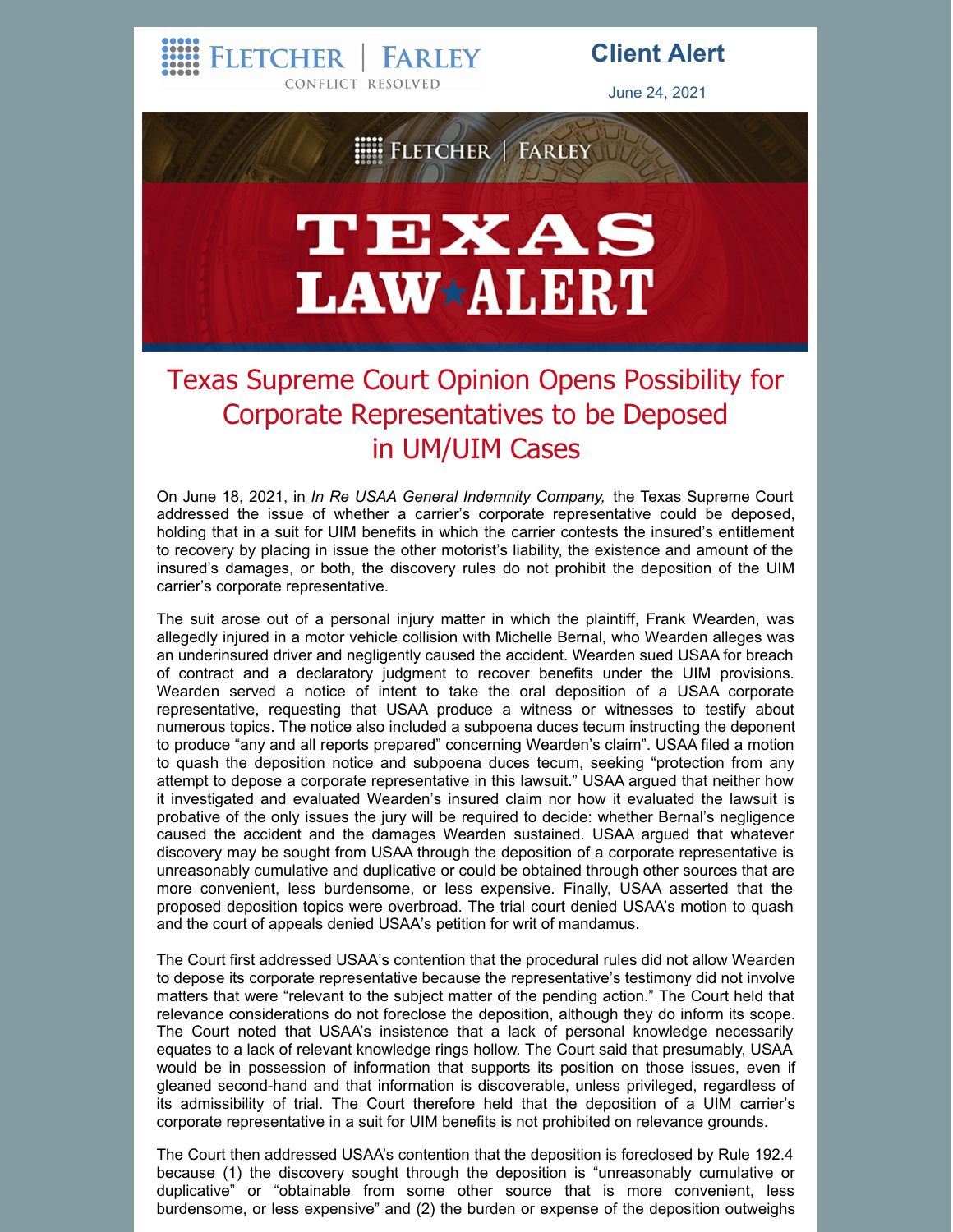FLETCHER | FARLEY

CONFLICT RESOLVED

## **Client Alert**

June 24, 2021



## Texas Supreme Court Opinion Opens Possibility for Corporate Representatives to be Deposed in UM/UIM Cases

On June 18, 2021, in *In Re USAA General Indemnity Company,* the Texas Supreme Court addressed the issue of whether a carrier's corporate representative could be deposed, holding that in a suit for UIM benefits in which the carrier contests the insured's entitlement to recovery by placing in issue the other motorist's liability, the existence and amount of the insured's damages, or both, the discovery rules do not prohibit the deposition of the UIM carrier's corporate representative.

The suit arose out of a personal injury matter in which the plaintiff, Frank Wearden, was allegedly injured in a motor vehicle collision with Michelle Bernal, who Wearden alleges was an underinsured driver and negligently caused the accident. Wearden sued USAA for breach of contract and a declaratory judgment to recover benefits under the UIM provisions. Wearden served a notice of intent to take the oral deposition of a USAA corporate representative, requesting that USAA produce a witness or witnesses to testify about numerous topics. The notice also included a subpoena duces tecum instructing the deponent to produce "any and all reports prepared" concerning Wearden's claim". USAA filed a motion to quash the deposition notice and subpoena duces tecum, seeking "protection from any attempt to depose a corporate representative in this lawsuit." USAA argued that neither how it investigated and evaluated Wearden's insured claim nor how it evaluated the lawsuit is probative of the only issues the jury will be required to decide: whether Bernal's negligence caused the accident and the damages Wearden sustained. USAA argued that whatever discovery may be sought from USAA through the deposition of a corporate representative is unreasonably cumulative and duplicative or could be obtained through other sources that are more convenient, less burdensome, or less expensive. Finally, USAA asserted that the proposed deposition topics were overbroad. The trial court denied USAA's motion to quash and the court of appeals denied USAA's petition for writ of mandamus.

The Court first addressed USAA's contention that the procedural rules did not allow Wearden to depose its corporate representative because the representative's testimony did not involve matters that were "relevant to the subject matter of the pending action." The Court held that relevance considerations do not foreclose the deposition, although they do inform its scope. The Court noted that USAA's insistence that a lack of personal knowledge necessarily equates to a lack of relevant knowledge rings hollow. The Court said that presumably, USAA would be in possession of information that supports its position on those issues, even if gleaned second-hand and that information is discoverable, unless privileged, regardless of its admissibility of trial. The Court therefore held that the deposition of a UIM carrier's corporate representative in a suit for UIM benefits is not prohibited on relevance grounds.

The Court then addressed USAA's contention that the deposition is foreclosed by Rule 192.4 because (1) the discovery sought through the deposition is "unreasonably cumulative or duplicative" or "obtainable from some other source that is more convenient, less burdensome, or less expensive" and (2) the burden or expense of the deposition outweighs